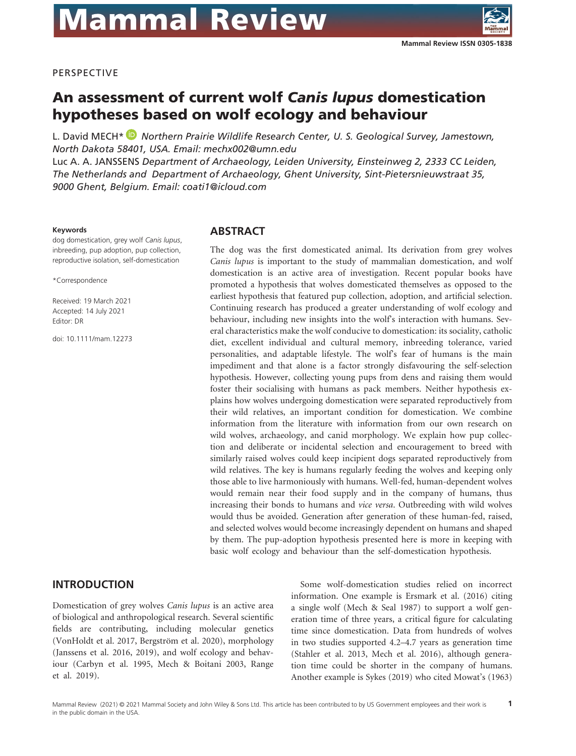

#### PERSPECTIVE

# An assessment of current wolf *Canis lupus* domestication hypotheses based on wolf ecology and behaviour

L. David MECH[\\*](https://orcid.org/0000-0003-3944-7769)  *Northern Prairie Wildlife Research Center, U. S. Geological Survey, Jamestown, North Dakota 58401, USA. Email: mechx002@umn.edu* Luc A. A. JANSSENS *Department of Archaeology, Leiden University, Einsteinweg 2, 2333 CC Leiden, The Netherlands and Department of Archaeology, Ghent University, Sint-Pietersnieuwstraat 35, 9000 Ghent, Belgium. Email: coati1@icloud.com*

#### **Keywords**

dog domestication, grey wolf *Canis lupus*, inbreeding, pup adoption, pup collection, reproductive isolation, self-domestication

\*Correspondence

Received: 19 March 2021 Accepted: 14 July 2021 Editor: DR

doi: 10.1111/mam.12273

#### **ABSTRACT**

The dog was the first domesticated animal. Its derivation from grey wolves *Canis lupus* is important to the study of mammalian domestication, and wolf domestication is an active area of investigation. Recent popular books have promoted a hypothesis that wolves domesticated themselves as opposed to the earliest hypothesis that featured pup collection, adoption, and artificial selection. Continuing research has produced a greater understanding of wolf ecology and behaviour, including new insights into the wolf's interaction with humans. Several characteristics make the wolf conducive to domestication: its sociality, catholic diet, excellent individual and cultural memory, inbreeding tolerance, varied personalities, and adaptable lifestyle. The wolf's fear of humans is the main impediment and that alone is a factor strongly disfavouring the self-selection hypothesis. However, collecting young pups from dens and raising them would foster their socialising with humans as pack members. Neither hypothesis explains how wolves undergoing domestication were separated reproductively from their wild relatives, an important condition for domestication. We combine information from the literature with information from our own research on wild wolves, archaeology, and canid morphology. We explain how pup collection and deliberate or incidental selection and encouragement to breed with similarly raised wolves could keep incipient dogs separated reproductively from wild relatives. The key is humans regularly feeding the wolves and keeping only those able to live harmoniously with humans. Well-fed, human-dependent wolves would remain near their food supply and in the company of humans, thus increasing their bonds to humans and *vice versa*. Outbreeding with wild wolves would thus be avoided. Generation after generation of these human-fed, raised, and selected wolves would become increasingly dependent on humans and shaped by them. The pup-adoption hypothesis presented here is more in keeping with basic wolf ecology and behaviour than the self-domestication hypothesis.

**INTRODUCTION**

Domestication of grey wolves *Canis lupus* is an active area of biological and anthropological research. Several scientific fields are contributing, including molecular genetics (VonHoldt et al. 2017, Bergström et al. 2020), morphology (Janssens et al. 2016, 2019), and wolf ecology and behaviour (Carbyn et al. 1995, Mech & Boitani 2003, Range et al. 2019).

Some wolf-domestication studies relied on incorrect information. One example is Ersmark et al. (2016) citing a single wolf (Mech & Seal 1987) to support a wolf generation time of three years, a critical figure for calculating time since domestication. Data from hundreds of wolves in two studies supported 4.2–4.7 years as generation time (Stahler et al. 2013, Mech et al. 2016), although generation time could be shorter in the company of humans. Another example is Sykes (2019) who cited Mowat's (1963)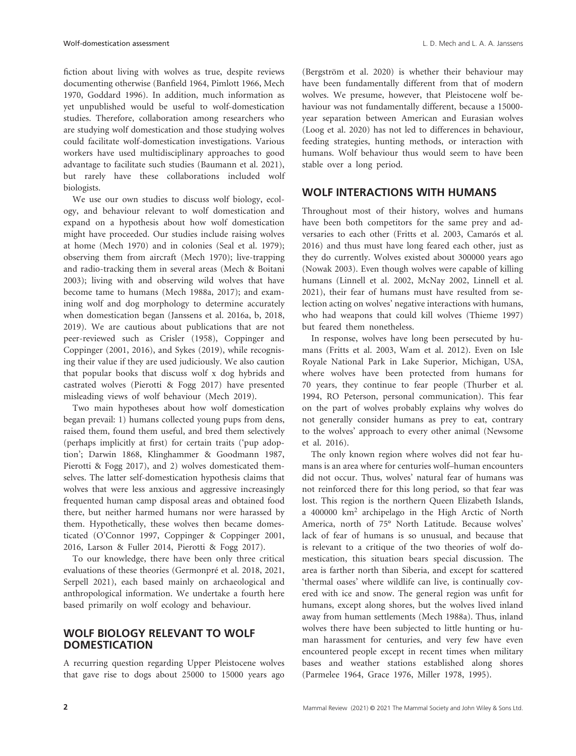fiction about living with wolves as true, despite reviews documenting otherwise (Banfield 1964, Pimlott 1966, Mech 1970, Goddard 1996). In addition, much information as yet unpublished would be useful to wolf-domestication studies. Therefore, collaboration among researchers who are studying wolf domestication and those studying wolves could facilitate wolf-domestication investigations. Various workers have used multidisciplinary approaches to good advantage to facilitate such studies (Baumann et al. 2021), but rarely have these collaborations included wolf biologists.

We use our own studies to discuss wolf biology, ecology, and behaviour relevant to wolf domestication and expand on a hypothesis about how wolf domestication might have proceeded. Our studies include raising wolves at home (Mech 1970) and in colonies (Seal et al. 1979); observing them from aircraft (Mech 1970); live-trapping and radio-tracking them in several areas (Mech & Boitani 2003); living with and observing wild wolves that have become tame to humans (Mech 1988a, 2017); and examining wolf and dog morphology to determine accurately when domestication began (Janssens et al. 2016a, b, 2018, 2019). We are cautious about publications that are not peer-reviewed such as Crisler (1958), Coppinger and Coppinger (2001, 2016), and Sykes (2019), while recognising their value if they are used judiciously. We also caution that popular books that discuss wolf x dog hybrids and castrated wolves (Pierotti & Fogg 2017) have presented misleading views of wolf behaviour (Mech 2019).

Two main hypotheses about how wolf domestication began prevail: 1) humans collected young pups from dens, raised them, found them useful, and bred them selectively (perhaps implicitly at first) for certain traits ('pup adoption'; Darwin 1868, Klinghammer & Goodmann 1987, Pierotti & Fogg 2017), and 2) wolves domesticated themselves. The latter self-domestication hypothesis claims that wolves that were less anxious and aggressive increasingly frequented human camp disposal areas and obtained food there, but neither harmed humans nor were harassed by them. Hypothetically, these wolves then became domesticated (O'Connor 1997, Coppinger & Coppinger 2001, 2016, Larson & Fuller 2014, Pierotti & Fogg 2017).

To our knowledge, there have been only three critical evaluations of these theories (Germonpré et al. 2018, 2021, Serpell 2021), each based mainly on archaeological and anthropological information. We undertake a fourth here based primarily on wolf ecology and behaviour.

# **WOLF BIOLOGY RELEVANT TO WOLF DOMESTICATION**

A recurring question regarding Upper Pleistocene wolves that gave rise to dogs about 25000 to 15000 years ago

(Bergström et al. 2020) is whether their behaviour may have been fundamentally different from that of modern wolves. We presume, however, that Pleistocene wolf behaviour was not fundamentally different, because a 15000 year separation between American and Eurasian wolves (Loog et al. 2020) has not led to differences in behaviour, feeding strategies, hunting methods, or interaction with humans. Wolf behaviour thus would seem to have been stable over a long period.

#### **WOLF INTERACTIONS WITH HUMANS**

Throughout most of their history, wolves and humans have been both competitors for the same prey and adversaries to each other (Fritts et al. 2003, Camarós et al. 2016) and thus must have long feared each other, just as they do currently. Wolves existed about 300000 years ago (Nowak 2003). Even though wolves were capable of killing humans (Linnell et al. 2002, McNay 2002, Linnell et al. 2021), their fear of humans must have resulted from selection acting on wolves' negative interactions with humans, who had weapons that could kill wolves (Thieme 1997) but feared them nonetheless.

In response, wolves have long been persecuted by humans (Fritts et al. 2003, Wam et al. 2012). Even on Isle Royale National Park in Lake Superior, Michigan, USA, where wolves have been protected from humans for 70 years, they continue to fear people (Thurber et al. 1994, RO Peterson, personal communication). This fear on the part of wolves probably explains why wolves do not generally consider humans as prey to eat, contrary to the wolves' approach to every other animal (Newsome et al. 2016).

The only known region where wolves did not fear humans is an area where for centuries wolf–human encounters did not occur. Thus, wolves' natural fear of humans was not reinforced there for this long period, so that fear was lost. This region is the northern Queen Elizabeth Islands, a 400000 km2 archipelago in the High Arctic of North America, north of 75° North Latitude. Because wolves' lack of fear of humans is so unusual, and because that is relevant to a critique of the two theories of wolf domestication, this situation bears special discussion. The area is farther north than Siberia, and except for scattered 'thermal oases' where wildlife can live, is continually covered with ice and snow. The general region was unfit for humans, except along shores, but the wolves lived inland away from human settlements (Mech 1988a). Thus, inland wolves there have been subjected to little hunting or human harassment for centuries, and very few have even encountered people except in recent times when military bases and weather stations established along shores (Parmelee 1964, Grace 1976, Miller 1978, 1995).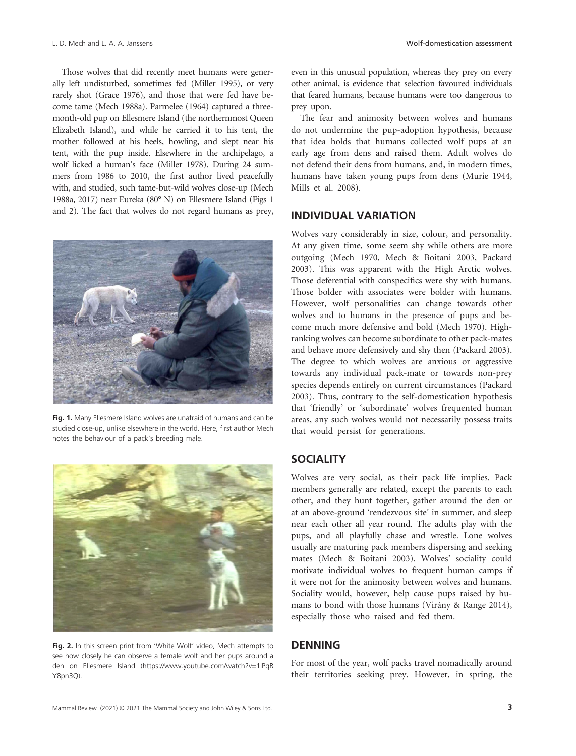#### L. D. Mech and L. A. A. Janssens Wolf-domestication assessment

Those wolves that did recently meet humans were generally left undisturbed, sometimes fed (Miller 1995), or very rarely shot (Grace 1976), and those that were fed have become tame (Mech 1988a). Parmelee (1964) captured a threemonth-old pup on Ellesmere Island (the northernmost Queen Elizabeth Island), and while he carried it to his tent, the mother followed at his heels, howling, and slept near his tent, with the pup inside. Elsewhere in the archipelago, a wolf licked a human's face (Miller 1978). During 24 summers from 1986 to 2010, the first author lived peacefully with, and studied, such tame-but-wild wolves close-up (Mech 1988a, 2017) near Eureka (80° N) on Ellesmere Island (Figs 1 and 2). The fact that wolves do not regard humans as prey,



**Fig. 1.** Many Ellesmere Island wolves are unafraid of humans and can be studied close-up, unlike elsewhere in the world. Here, first author Mech notes the behaviour of a pack's breeding male.



**Fig. 2.** In this screen print from 'White Wolf' video, Mech attempts to see how closely he can observe a female wolf and her pups around a den on Ellesmere Island ([https://www.youtube.com/watch?v=1lPqR](https://www.youtube.com/watch?v=1lPqRY8pn3Q) [Y8pn3Q\)](https://www.youtube.com/watch?v=1lPqRY8pn3Q).

even in this unusual population, whereas they prey on every other animal, is evidence that selection favoured individuals that feared humans, because humans were too dangerous to prey upon.

The fear and animosity between wolves and humans do not undermine the pup-adoption hypothesis, because that idea holds that humans collected wolf pups at an early age from dens and raised them. Adult wolves do not defend their dens from humans, and, in modern times, humans have taken young pups from dens (Murie 1944, Mills et al. 2008).

### **INDIVIDUAL VARIATION**

Wolves vary considerably in size, colour, and personality. At any given time, some seem shy while others are more outgoing (Mech 1970, Mech & Boitani 2003, Packard 2003). This was apparent with the High Arctic wolves. Those deferential with conspecifics were shy with humans. Those bolder with associates were bolder with humans. However, wolf personalities can change towards other wolves and to humans in the presence of pups and become much more defensive and bold (Mech 1970). Highranking wolves can become subordinate to other pack-mates and behave more defensively and shy then (Packard 2003). The degree to which wolves are anxious or aggressive towards any individual pack-mate or towards non-prey species depends entirely on current circumstances (Packard 2003). Thus, contrary to the self-domestication hypothesis that 'friendly' or 'subordinate' wolves frequented human areas, any such wolves would not necessarily possess traits that would persist for generations.

#### **SOCIALITY**

Wolves are very social, as their pack life implies. Pack members generally are related, except the parents to each other, and they hunt together, gather around the den or at an above-ground 'rendezvous site' in summer, and sleep near each other all year round. The adults play with the pups, and all playfully chase and wrestle. Lone wolves usually are maturing pack members dispersing and seeking mates (Mech & Boitani 2003). Wolves' sociality could motivate individual wolves to frequent human camps if it were not for the animosity between wolves and humans. Sociality would, however, help cause pups raised by humans to bond with those humans (Virány & Range 2014), especially those who raised and fed them.

#### **DENNING**

For most of the year, wolf packs travel nomadically around their territories seeking prey. However, in spring, the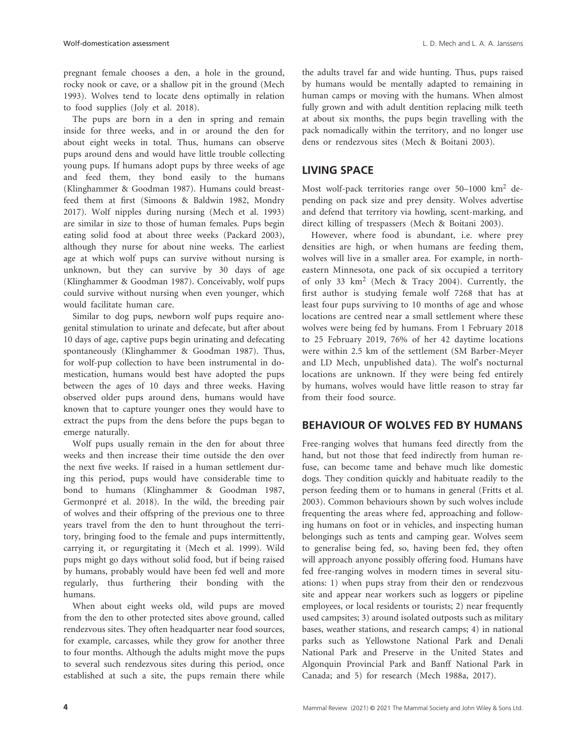pregnant female chooses a den, a hole in the ground, rocky nook or cave, or a shallow pit in the ground (Mech 1993). Wolves tend to locate dens optimally in relation to food supplies (Joly et al. 2018).

The pups are born in a den in spring and remain inside for three weeks, and in or around the den for about eight weeks in total. Thus, humans can observe pups around dens and would have little trouble collecting young pups. If humans adopt pups by three weeks of age and feed them, they bond easily to the humans (Klinghammer & Goodman 1987). Humans could breastfeed them at first (Simoons & Baldwin 1982, Mondry 2017). Wolf nipples during nursing (Mech et al. 1993) are similar in size to those of human females. Pups begin eating solid food at about three weeks (Packard 2003), although they nurse for about nine weeks. The earliest age at which wolf pups can survive without nursing is unknown, but they can survive by 30 days of age (Klinghammer & Goodman 1987). Conceivably, wolf pups could survive without nursing when even younger, which would facilitate human care.

Similar to dog pups, newborn wolf pups require anogenital stimulation to urinate and defecate, but after about 10 days of age, captive pups begin urinating and defecating spontaneously (Klinghammer & Goodman 1987). Thus, for wolf-pup collection to have been instrumental in domestication, humans would best have adopted the pups between the ages of 10 days and three weeks. Having observed older pups around dens, humans would have known that to capture younger ones they would have to extract the pups from the dens before the pups began to emerge naturally.

Wolf pups usually remain in the den for about three weeks and then increase their time outside the den over the next five weeks. If raised in a human settlement during this period, pups would have considerable time to bond to humans (Klinghammer & Goodman 1987, Germonpré et al. 2018). In the wild, the breeding pair of wolves and their offspring of the previous one to three years travel from the den to hunt throughout the territory, bringing food to the female and pups intermittently, carrying it, or regurgitating it (Mech et al. 1999). Wild pups might go days without solid food, but if being raised by humans, probably would have been fed well and more regularly, thus furthering their bonding with the humans.

When about eight weeks old, wild pups are moved from the den to other protected sites above ground, called rendezvous sites. They often headquarter near food sources, for example, carcasses, while they grow for another three to four months. Although the adults might move the pups to several such rendezvous sites during this period, once established at such a site, the pups remain there while

the adults travel far and wide hunting. Thus, pups raised by humans would be mentally adapted to remaining in human camps or moving with the humans. When almost fully grown and with adult dentition replacing milk teeth at about six months, the pups begin travelling with the pack nomadically within the territory, and no longer use dens or rendezvous sites (Mech & Boitani 2003).

# **LIVING SPACE**

Most wolf-pack territories range over 50–1000 km2 depending on pack size and prey density. Wolves advertise and defend that territory via howling, scent-marking, and direct killing of trespassers (Mech & Boitani 2003).

However, where food is abundant, i.e. where prey densities are high, or when humans are feeding them, wolves will live in a smaller area. For example, in northeastern Minnesota, one pack of six occupied a territory of only 33 km2 (Mech & Tracy 2004). Currently, the first author is studying female wolf 7268 that has at least four pups surviving to 10 months of age and whose locations are centred near a small settlement where these wolves were being fed by humans. From 1 February 2018 to 25 February 2019, 76% of her 42 daytime locations were within 2.5 km of the settlement (SM Barber-Meyer and LD Mech, unpublished data). The wolf's nocturnal locations are unknown. If they were being fed entirely by humans, wolves would have little reason to stray far from their food source.

# **BEHAVIOUR OF WOLVES FED BY HUMANS**

Free-ranging wolves that humans feed directly from the hand, but not those that feed indirectly from human refuse, can become tame and behave much like domestic dogs. They condition quickly and habituate readily to the person feeding them or to humans in general (Fritts et al. 2003). Common behaviours shown by such wolves include frequenting the areas where fed, approaching and following humans on foot or in vehicles, and inspecting human belongings such as tents and camping gear. Wolves seem to generalise being fed, so, having been fed, they often will approach anyone possibly offering food. Humans have fed free-ranging wolves in modern times in several situations: 1) when pups stray from their den or rendezvous site and appear near workers such as loggers or pipeline employees, or local residents or tourists; 2) near frequently used campsites; 3) around isolated outposts such as military bases, weather stations, and research camps; 4) in national parks such as Yellowstone National Park and Denali National Park and Preserve in the United States and Algonquin Provincial Park and Banff National Park in Canada; and 5) for research (Mech 1988a, 2017).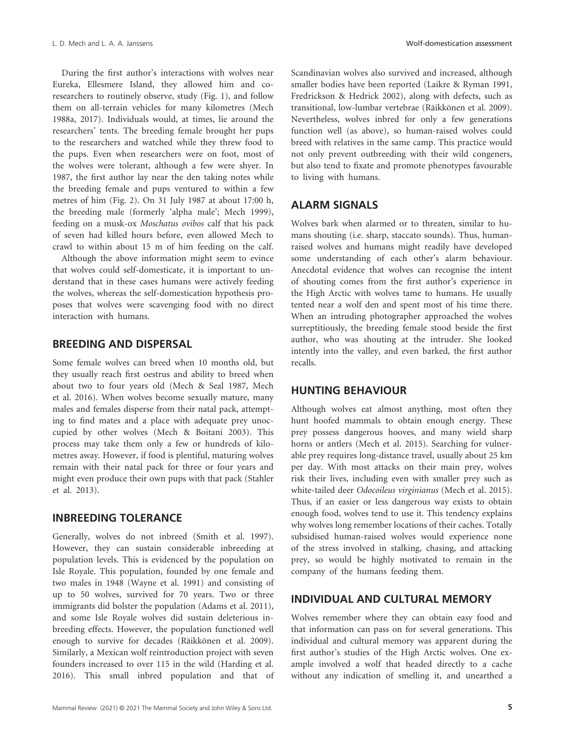During the first author's interactions with wolves near Eureka, Ellesmere Island, they allowed him and coresearchers to routinely observe, study (Fig. 1), and follow them on all-terrain vehicles for many kilometres (Mech 1988a, 2017). Individuals would, at times, lie around the researchers' tents. The breeding female brought her pups to the researchers and watched while they threw food to the pups. Even when researchers were on foot, most of the wolves were tolerant, although a few were shyer. In 1987, the first author lay near the den taking notes while the breeding female and pups ventured to within a few metres of him (Fig. 2). On 31 July 1987 at about 17:00 h, the breeding male (formerly 'alpha male'; Mech 1999), feeding on a musk-ox *Moschatus ovibos* calf that his pack of seven had killed hours before, even allowed Mech to crawl to within about 15 m of him feeding on the calf.

Although the above information might seem to evince that wolves could self-domesticate, it is important to understand that in these cases humans were actively feeding the wolves, whereas the self-domestication hypothesis proposes that wolves were scavenging food with no direct interaction with humans.

# **BREEDING AND DISPERSAL**

Some female wolves can breed when 10 months old, but they usually reach first oestrus and ability to breed when about two to four years old (Mech & Seal 1987, Mech et al. 2016). When wolves become sexually mature, many males and females disperse from their natal pack, attempting to find mates and a place with adequate prey unoccupied by other wolves (Mech & Boitani 2003). This process may take them only a few or hundreds of kilometres away. However, if food is plentiful, maturing wolves remain with their natal pack for three or four years and might even produce their own pups with that pack (Stahler et al. 2013).

### **INBREEDING TOLERANCE**

Generally, wolves do not inbreed (Smith et al. 1997). However, they can sustain considerable inbreeding at population levels. This is evidenced by the population on Isle Royale. This population, founded by one female and two males in 1948 (Wayne et al. 1991) and consisting of up to 50 wolves, survived for 70 years. Two or three immigrants did bolster the population (Adams et al. 2011), and some Isle Royale wolves did sustain deleterious inbreeding effects. However, the population functioned well enough to survive for decades (Räikkönen et al. 2009). Similarly, a Mexican wolf reintroduction project with seven founders increased to over 115 in the wild (Harding et al. 2016). This small inbred population and that of Scandinavian wolves also survived and increased, although smaller bodies have been reported (Laikre & Ryman 1991, Fredrickson & Hedrick 2002), along with defects, such as transitional, low-lumbar vertebrae (Räikkönen et al. 2009). Nevertheless, wolves inbred for only a few generations function well (as above), so human-raised wolves could breed with relatives in the same camp. This practice would not only prevent outbreeding with their wild congeners, but also tend to fixate and promote phenotypes favourable to living with humans.

## **ALARM SIGNALS**

Wolves bark when alarmed or to threaten, similar to humans shouting (i.e. sharp, staccato sounds). Thus, humanraised wolves and humans might readily have developed some understanding of each other's alarm behaviour. Anecdotal evidence that wolves can recognise the intent of shouting comes from the first author's experience in the High Arctic with wolves tame to humans. He usually tented near a wolf den and spent most of his time there. When an intruding photographer approached the wolves surreptitiously, the breeding female stood beside the first author, who was shouting at the intruder. She looked intently into the valley, and even barked, the first author recalls.

#### **HUNTING BEHAVIOUR**

Although wolves eat almost anything, most often they hunt hoofed mammals to obtain enough energy. These prey possess dangerous hooves, and many wield sharp horns or antlers (Mech et al. 2015). Searching for vulnerable prey requires long-distance travel, usually about 25 km per day. With most attacks on their main prey, wolves risk their lives, including even with smaller prey such as white-tailed deer *Odocoileus virginianus* (Mech et al. 2015). Thus, if an easier or less dangerous way exists to obtain enough food, wolves tend to use it. This tendency explains why wolves long remember locations of their caches. Totally subsidised human-raised wolves would experience none of the stress involved in stalking, chasing, and attacking prey, so would be highly motivated to remain in the company of the humans feeding them.

#### **INDIVIDUAL AND CULTURAL MEMORY**

Wolves remember where they can obtain easy food and that information can pass on for several generations. This individual and cultural memory was apparent during the first author's studies of the High Arctic wolves. One example involved a wolf that headed directly to a cache without any indication of smelling it, and unearthed a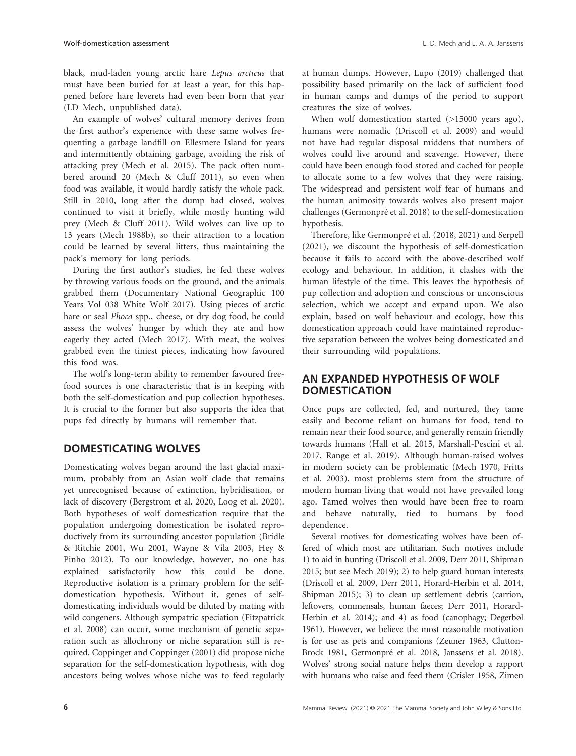black, mud-laden young arctic hare *Lepus arcticus* that must have been buried for at least a year, for this happened before hare leverets had even been born that year (LD Mech, unpublished data).

An example of wolves' cultural memory derives from the first author's experience with these same wolves frequenting a garbage landfill on Ellesmere Island for years and intermittently obtaining garbage, avoiding the risk of attacking prey (Mech et al. 2015). The pack often numbered around 20 (Mech & Cluff 2011), so even when food was available, it would hardly satisfy the whole pack. Still in 2010, long after the dump had closed, wolves continued to visit it briefly, while mostly hunting wild prey (Mech & Cluff 2011). Wild wolves can live up to 13 years (Mech 1988b), so their attraction to a location could be learned by several litters, thus maintaining the pack's memory for long periods.

During the first author's studies, he fed these wolves by throwing various foods on the ground, and the animals grabbed them (Documentary National Geographic 100 Years Vol 038 White Wolf 2017). Using pieces of arctic hare or seal *Phoca* spp., cheese, or dry dog food, he could assess the wolves' hunger by which they ate and how eagerly they acted (Mech 2017). With meat, the wolves grabbed even the tiniest pieces, indicating how favoured this food was.

The wolf's long-term ability to remember favoured freefood sources is one characteristic that is in keeping with both the self-domestication and pup collection hypotheses. It is crucial to the former but also supports the idea that pups fed directly by humans will remember that.

# **DOMESTICATING WOLVES**

Domesticating wolves began around the last glacial maximum, probably from an Asian wolf clade that remains yet unrecognised because of extinction, hybridisation, or lack of discovery (Bergstrom et al. 2020, Loog et al. 2020). Both hypotheses of wolf domestication require that the population undergoing domestication be isolated reproductively from its surrounding ancestor population (Bridle & Ritchie 2001, Wu 2001, Wayne & Vila 2003, Hey & Pinho 2012). To our knowledge, however, no one has explained satisfactorily how this could be done. Reproductive isolation is a primary problem for the selfdomestication hypothesis. Without it, genes of selfdomesticating individuals would be diluted by mating with wild congeners. Although sympatric speciation (Fitzpatrick et al. 2008) can occur, some mechanism of genetic separation such as allochrony or niche separation still is required. Coppinger and Coppinger (2001) did propose niche separation for the self-domestication hypothesis, with dog ancestors being wolves whose niche was to feed regularly

at human dumps. However, Lupo (2019) challenged that possibility based primarily on the lack of sufficient food in human camps and dumps of the period to support creatures the size of wolves.

When wolf domestication started (>15000 years ago), humans were nomadic (Driscoll et al. 2009) and would not have had regular disposal middens that numbers of wolves could live around and scavenge. However, there could have been enough food stored and cached for people to allocate some to a few wolves that they were raising. The widespread and persistent wolf fear of humans and the human animosity towards wolves also present major challenges (Germonpré et al. 2018) to the self-domestication hypothesis.

Therefore, like Germonpré et al. (2018, 2021) and Serpell (2021), we discount the hypothesis of self-domestication because it fails to accord with the above-described wolf ecology and behaviour. In addition, it clashes with the human lifestyle of the time. This leaves the hypothesis of pup collection and adoption and conscious or unconscious selection, which we accept and expand upon. We also explain, based on wolf behaviour and ecology, how this domestication approach could have maintained reproductive separation between the wolves being domesticated and their surrounding wild populations.

# **AN EXPANDED HYPOTHESIS OF WOLF DOMESTICATION**

Once pups are collected, fed, and nurtured, they tame easily and become reliant on humans for food, tend to remain near their food source, and generally remain friendly towards humans (Hall et al. 2015, Marshall-Pescini et al. 2017, Range et al. 2019). Although human-raised wolves in modern society can be problematic (Mech 1970, Fritts et al. 2003), most problems stem from the structure of modern human living that would not have prevailed long ago. Tamed wolves then would have been free to roam and behave naturally, tied to humans by food dependence.

Several motives for domesticating wolves have been offered of which most are utilitarian. Such motives include 1) to aid in hunting (Driscoll et al. 2009, Derr 2011, Shipman 2015; but see Mech 2019); 2) to help guard human interests (Driscoll et al. 2009, Derr 2011, Horard-Herbin et al. 2014, Shipman 2015); 3) to clean up settlement debris (carrion, leftovers, commensals, human faeces; Derr 2011, Horard-Herbin et al. 2014); and 4) as food (canophagy; Degerbøl 1961). However, we believe the most reasonable motivation is for use as pets and companions (Zeuner 1963, Clutton-Brock 1981, Germonpré et al. 2018, Janssens et al. 2018). Wolves' strong social nature helps them develop a rapport with humans who raise and feed them (Crisler 1958, Zimen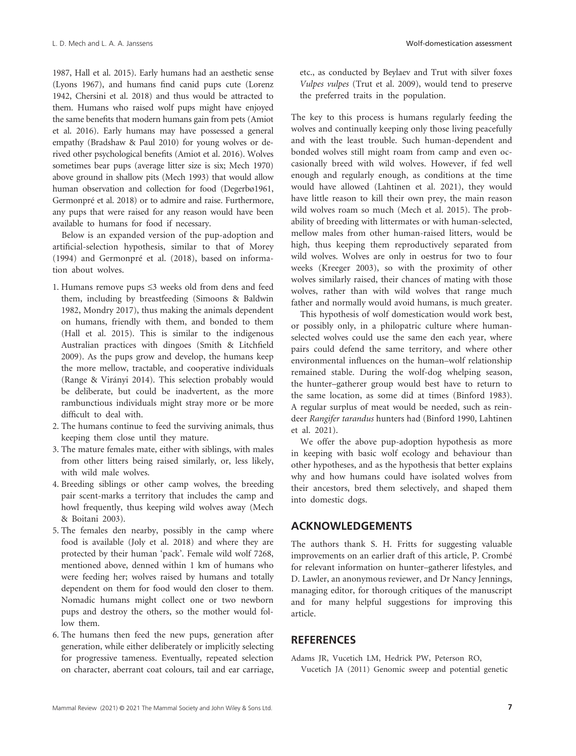1987, Hall et al. 2015). Early humans had an aesthetic sense (Lyons 1967), and humans find canid pups cute (Lorenz 1942, Chersini et al. 2018) and thus would be attracted to them. Humans who raised wolf pups might have enjoyed the same benefits that modern humans gain from pets (Amiot et al. 2016). Early humans may have possessed a general empathy (Bradshaw & Paul 2010) for young wolves or derived other psychological benefits (Amiot et al. 2016). Wolves sometimes bear pups (average litter size is six; Mech 1970) above ground in shallow pits (Mech 1993) that would allow human observation and collection for food (Degerbø1961, Germonpré et al. 2018) or to admire and raise. Furthermore, any pups that were raised for any reason would have been available to humans for food if necessary.

Below is an expanded version of the pup-adoption and artificial-selection hypothesis, similar to that of Morey (1994) and Germonpré et al. (2018), based on information about wolves.

- 1. Humans remove pups ≤3 weeks old from dens and feed them, including by breastfeeding (Simoons & Baldwin 1982, Mondry 2017), thus making the animals dependent on humans, friendly with them, and bonded to them (Hall et al. 2015). This is similar to the indigenous Australian practices with dingoes (Smith & Litchfield 2009). As the pups grow and develop, the humans keep the more mellow, tractable, and cooperative individuals (Range & Virányi 2014). This selection probably would be deliberate, but could be inadvertent, as the more rambunctious individuals might stray more or be more difficult to deal with.
- 2. The humans continue to feed the surviving animals, thus keeping them close until they mature.
- 3. The mature females mate, either with siblings, with males from other litters being raised similarly, or, less likely, with wild male wolves.
- 4. Breeding siblings or other camp wolves, the breeding pair scent-marks a territory that includes the camp and howl frequently, thus keeping wild wolves away (Mech & Boitani 2003).
- 5. The females den nearby, possibly in the camp where food is available (Joly et al. 2018) and where they are protected by their human 'pack'. Female wild wolf 7268, mentioned above, denned within 1 km of humans who were feeding her; wolves raised by humans and totally dependent on them for food would den closer to them. Nomadic humans might collect one or two newborn pups and destroy the others, so the mother would follow them.
- 6. The humans then feed the new pups, generation after generation, while either deliberately or implicitly selecting for progressive tameness. Eventually, repeated selection on character, aberrant coat colours, tail and ear carriage,

etc., as conducted by Beylaev and Trut with silver foxes *Vulpes vulpes* (Trut et al. 2009), would tend to preserve the preferred traits in the population.

The key to this process is humans regularly feeding the wolves and continually keeping only those living peacefully and with the least trouble. Such human-dependent and bonded wolves still might roam from camp and even occasionally breed with wild wolves. However, if fed well enough and regularly enough, as conditions at the time would have allowed (Lahtinen et al. 2021), they would have little reason to kill their own prey, the main reason wild wolves roam so much (Mech et al. 2015). The probability of breeding with littermates or with human-selected, mellow males from other human-raised litters, would be high, thus keeping them reproductively separated from wild wolves. Wolves are only in oestrus for two to four weeks (Kreeger 2003), so with the proximity of other wolves similarly raised, their chances of mating with those wolves, rather than with wild wolves that range much father and normally would avoid humans, is much greater.

This hypothesis of wolf domestication would work best, or possibly only, in a philopatric culture where humanselected wolves could use the same den each year, where pairs could defend the same territory, and where other environmental influences on the human–wolf relationship remained stable. During the wolf-dog whelping season, the hunter–gatherer group would best have to return to the same location, as some did at times (Binford 1983). A regular surplus of meat would be needed, such as reindeer *Rangifer tarandus* hunters had (Binford 1990, Lahtinen et al. 2021).

We offer the above pup-adoption hypothesis as more in keeping with basic wolf ecology and behaviour than other hypotheses, and as the hypothesis that better explains why and how humans could have isolated wolves from their ancestors, bred them selectively, and shaped them into domestic dogs.

#### **ACKNOWLEDGEMENTS**

The authors thank S. H. Fritts for suggesting valuable improvements on an earlier draft of this article, P. Crombé for relevant information on hunter–gatherer lifestyles, and D. Lawler, an anonymous reviewer, and Dr Nancy Jennings, managing editor, for thorough critiques of the manuscript and for many helpful suggestions for improving this article.

# **REFERENCES**

Adams JR, Vucetich LM, Hedrick PW, Peterson RO, Vucetich JA (2011) Genomic sweep and potential genetic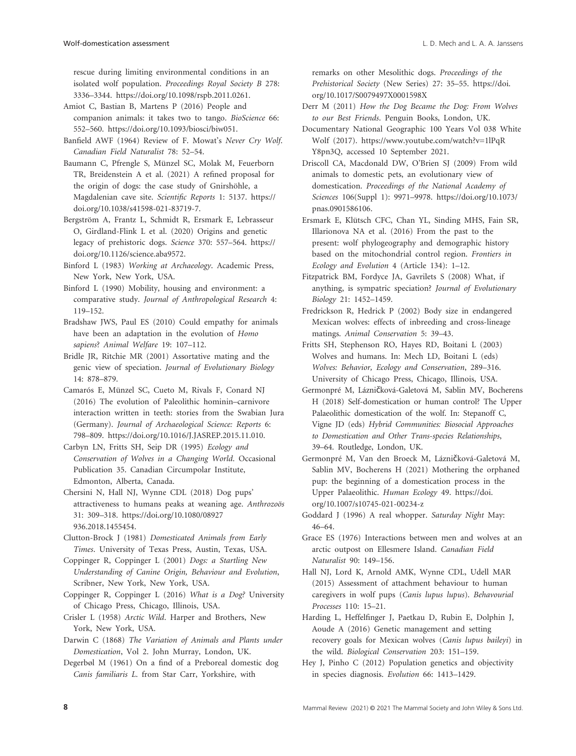rescue during limiting environmental conditions in an isolated wolf population. *Proceedings Royal Society B* 278: 3336–3344. [https://doi.org/10.1098/rspb.2011.0261.](https://doi.org/10.1098/rspb.2011.0261)

- Amiot C, Bastian B, Martens P (2016) People and companion animals: it takes two to tango. *BioScience* 66: 552–560. [https://doi.org/10.1093/biosci/biw051.](https://doi.org/10.1093/biosci/biw051)
- Banfield AWF (1964) Review of F. Mowat's *Never Cry Wolf*. *Canadian Field Naturalist* 78: 52–54.
- Baumann C, Pfrengle S, Münzel SC, Molak M, Feuerborn TR, Breidenstein A et al. (2021) A refined proposal for the origin of dogs: the case study of Gnirshöhle, a Magdalenian cave site. *Scientific Reports* 1: 5137. [https://](https://doi.org/10.1038/s41598-021-83719-7) [doi.org/10.1038/s41598-021-83719-7.](https://doi.org/10.1038/s41598-021-83719-7)
- Bergström A, Frantz L, Schmidt R, Ersmark E, Lebrasseur O, Girdland-Flink L et al. (2020) Origins and genetic legacy of prehistoric dogs. *Science* 370: 557–564. [https://](https://doi.org/10.1126/science.aba9572) [doi.org/10.1126/science.aba9572.](https://doi.org/10.1126/science.aba9572)
- Binford L (1983) *Working at Archaeology*. Academic Press, New York, New York, USA.
- Binford L (1990) Mobility, housing and environment: a comparative study. *Journal of Anthropological Research* 4: 119–152.

Bradshaw JWS, Paul ES (2010) Could empathy for animals have been an adaptation in the evolution of *Homo sapiens*? *Animal Welfare* 19: 107–112.

Bridle JR, Ritchie MR (2001) Assortative mating and the genic view of speciation. *Journal of Evolutionary Biology* 14: 878–879.

- Camarós E, Münzel SC, Cueto M, Rivals F, Conard NJ (2016) The evolution of Paleolithic hominin–carnivore interaction written in teeth: stories from the Swabian Jura (Germany). *Journal of Archaeological Science: Reports* 6: 798–809. <https://doi.org/10.1016/J.JASREP.2015.11.010>.
- Carbyn LN, Fritts SH, Seip DR (1995) *Ecology and Conservation of Wolves in a Changing World*. Occasional Publication 35. Canadian Circumpolar Institute, Edmonton, Alberta, Canada.

Chersini N, Hall NJ, Wynne CDL (2018) Dog pups' attractiveness to humans peaks at weaning age. *Anthrozoös* 31: 309–318. [https://doi.org/10.1080/08927](https://doi.org/10.1080/08927936.2018.1455454) [936.2018.1455454.](https://doi.org/10.1080/08927936.2018.1455454)

Clutton-Brock J (1981) *Domesticated Animals from Early Times*. University of Texas Press, Austin, Texas, USA.

- Coppinger R, Coppinger L (2001) *Dogs: a Startling New Understanding of Canine Origin, Behaviour and Evolution*, Scribner, New York, New York, USA.
- Coppinger R, Coppinger L (2016) *What is a Dog?* University of Chicago Press, Chicago, Illinois, USA.

Crisler L (1958) *Arctic Wild*. Harper and Brothers, New York, New York, USA.

Darwin C (1868) *The Variation of Animals and Plants under Domestication*, Vol 2. John Murray, London, UK.

Degerbøl M (1961) On a find of a Preboreal domestic dog *Canis familiaris L*. from Star Carr, Yorkshire, with

remarks on other Mesolithic dogs. *Proceedings of the Prehistorical Society* (New Series) 27: 35–55. [https://doi.](https://doi.org/10.1017/S0079497X0001598X) [org/10.1017/S0079497X0001598X](https://doi.org/10.1017/S0079497X0001598X)

- Derr M (2011) *How the Dog Became the Dog: From Wolves to our Best Friends*. Penguin Books, London, UK.
- Documentary National Geographic 100 Years Vol 038 White Wolf (2017). [https://www.youtube.com/watch?v=1lPqR](https://www.youtube.com/watch?v=1lPqRY8pn3Q) [Y8pn3Q](https://www.youtube.com/watch?v=1lPqRY8pn3Q), accessed 10 September 2021.
- Driscoll CA, Macdonald DW, O'Brien SJ (2009) From wild animals to domestic pets, an evolutionary view of domestication. *Proceedings of the National Academy of Sciences* 106(Suppl 1): 9971–9978. [https://doi.org/10.1073/](https://doi.org/10.1073/pnas.0901586106) [pnas.0901586106](https://doi.org/10.1073/pnas.0901586106).

Ersmark E, Klütsch CFC, Chan YL, Sinding MHS, Fain SR, Illarionova NA et al. (2016) From the past to the present: wolf phylogeography and demographic history based on the mitochondrial control region. *Frontiers in Ecology and Evolution* 4 (Article 134): 1–12.

- Fitzpatrick BM, Fordyce JA, Gavrilets S (2008) What, if anything, is sympatric speciation? *Journal of Evolutionary Biology* 21: 1452–1459.
- Fredrickson R, Hedrick P (2002) Body size in endangered Mexican wolves: effects of inbreeding and cross-lineage matings. *Animal Conservation* 5: 39–43.

Fritts SH, Stephenson RO, Hayes RD, Boitani L (2003) Wolves and humans. In: Mech LD, Boitani L (eds) *Wolves: Behavior, Ecology and Conservation*, 289–316. University of Chicago Press, Chicago, Illinois, USA.

Germonpré M, Lázničková-Galetová M, Sablin MV, Bocherens H (2018) Self-domestication or human control? The Upper Palaeolithic domestication of the wolf. In: Stepanoff C, Vigne JD (eds) *Hybrid Communities: Biosocial Approaches to Domestication and Other Trans-species Relationships*, 39–64. Routledge, London, UK.

Germonpré M, Van den Broeck M, Lázničková-Galetová M, Sablin MV, Bocherens H (2021) Mothering the orphaned pup: the beginning of a domestication process in the Upper Palaeolithic. *Human Ecology* 49. [https://doi.](https://doi.org/10.1007/s10745-021-00234-z) [org/10.1007/s10745-021-00234-z](https://doi.org/10.1007/s10745-021-00234-z)

Goddard J (1996) A real whopper. *Saturday Night* May: 46–64.

Grace ES (1976) Interactions between men and wolves at an arctic outpost on Ellesmere Island. *Canadian Field Naturalist* 90: 149–156.

Hall NJ, Lord K, Arnold AMK, Wynne CDL, Udell MAR (2015) Assessment of attachment behaviour to human caregivers in wolf pups (*Canis lupus lupus*). *Behavourial Processes* 110: 15–21.

Harding L, Heffelfinger J, Paetkau D, Rubin E, Dolphin J, Aoude A (2016) Genetic management and setting recovery goals for Mexican wolves (*Canis lupus baileyi*) in the wild. *Biological Conservation* 203: 151–159.

Hey J, Pinho C (2012) Population genetics and objectivity in species diagnosis. *Evolution* 66: 1413–1429.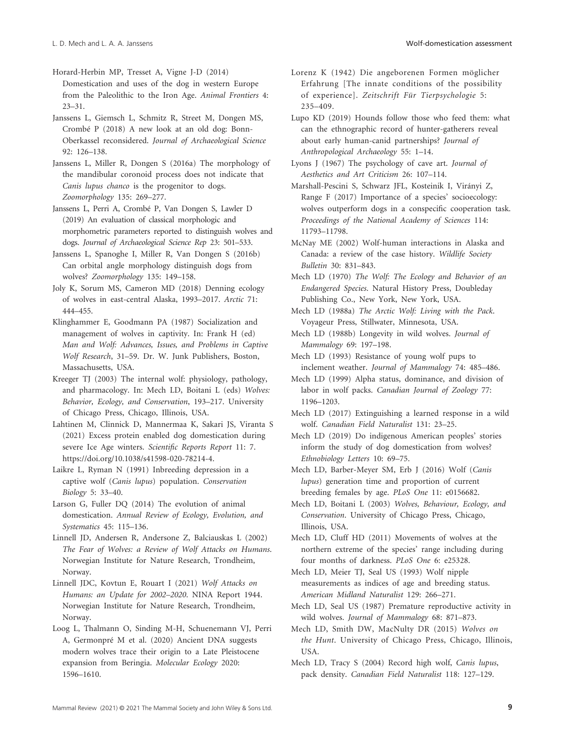Horard-Herbin MP, Tresset A, Vigne J-D (2014)

Domestication and uses of the dog in western Europe from the Paleolithic to the Iron Age. *Animal Frontiers* 4: 23–31.

Janssens L, Giemsch L, Schmitz R, Street M, Dongen MS, Crombé P (2018) A new look at an old dog: Bonn-Oberkassel reconsidered. *Journal of Archaeological Science* 92: 126–138.

Janssens L, Miller R, Dongen S (2016a) The morphology of the mandibular coronoid process does not indicate that *Canis lupus chanco* is the progenitor to dogs. *Zoomorphology* 135: 269–277.

Janssens L, Perri A, Crombé P, Van Dongen S, Lawler D (2019) An evaluation of classical morphologic and morphometric parameters reported to distinguish wolves and dogs. *Journal of Archaeological Science Rep* 23: 501–533.

Janssens L, Spanoghe I, Miller R, Van Dongen S (2016b) Can orbital angle morphology distinguish dogs from wolves? *Zoomorphology* 135: 149–158.

Joly K, Sorum MS, Cameron MD (2018) Denning ecology of wolves in east-central Alaska, 1993–2017. *Arctic* 71: 444–455.

Klinghammer E, Goodmann PA (1987) Socialization and management of wolves in captivity. In: Frank H (ed) *Man and Wolf: Advances, Issues, and Problems in Captive Wolf Research*, 31–59. Dr. W. Junk Publishers, Boston, Massachusetts, USA.

Kreeger TJ (2003) The internal wolf: physiology, pathology, and pharmacology. In: Mech LD, Boitani L (eds) *Wolves: Behavior, Ecology, and Conservation*, 193–217. University of Chicago Press, Chicago, Illinois, USA.

Lahtinen M, Clinnick D, Mannermaa K, Sakari JS, Viranta S (2021) Excess protein enabled dog domestication during severe Ice Age winters. *Scientific Reports Report* 11: 7. [https://doi.org/10.1038/s41598-020-78214-4.](https://doi.org/10.1038/s41598-020-78214-4)

Laikre L, Ryman N (1991) Inbreeding depression in a captive wolf (*Canis lupus*) population. *Conservation Biology* 5: 33–40.

Larson G, Fuller DQ (2014) The evolution of animal domestication. *Annual Review of Ecology, Evolution, and Systematics* 45: 115–136.

Linnell JD, Andersen R, Andersone Z, Balciauskas L (2002) *The Fear of Wolves: a Review of Wolf Attacks on Humans*. Norwegian Institute for Nature Research, Trondheim, Norway.

Linnell JDC, Kovtun E, Rouart I (2021) *Wolf Attacks on Humans: an Update for 2002–2020*. NINA Report 1944. Norwegian Institute for Nature Research, Trondheim, Norway.

Loog L, Thalmann O, Sinding M-H, Schuenemann VJ, Perri A, Germonpré M et al. (2020) Ancient DNA suggests modern wolves trace their origin to a Late Pleistocene expansion from Beringia. *Molecular Ecology* 2020: 1596–1610.

Lorenz K (1942) Die angeborenen Formen möglicher Erfahrung [The innate conditions of the possibility of experience]. *Zeitschrift Für Tierpsychologie* 5: 235–409.

Lupo KD (2019) Hounds follow those who feed them: what can the ethnographic record of hunter-gatherers reveal about early human-canid partnerships? *Journal of Anthropological Archaeology* 55: 1–14.

Lyons J (1967) The psychology of cave art. *Journal of Aesthetics and Art Criticism* 26: 107–114.

Marshall-Pescini S, Schwarz JFL, Kosteinik I, Virányi Z, Range F (2017) Importance of a species' socioecology: wolves outperform dogs in a conspecific cooperation task. *Proceedings of the National Academy of Sciences* 114: 11793–11798.

McNay ME (2002) Wolf-human interactions in Alaska and Canada: a review of the case history. *Wildlife Society Bulletin* 30: 831–843.

Mech LD (1970) *The Wolf: The Ecology and Behavior of an Endangered Species*. Natural History Press, Doubleday Publishing Co., New York, New York, USA.

Mech LD (1988a) *The Arctic Wolf: Living with the Pack*. Voyageur Press, Stillwater, Minnesota, USA.

Mech LD (1988b) Longevity in wild wolves. *Journal of Mammalogy* 69: 197–198.

Mech LD (1993) Resistance of young wolf pups to inclement weather. *Journal of Mammalogy* 74: 485–486.

Mech LD (1999) Alpha status, dominance, and division of labor in wolf packs. *Canadian Journal of Zoology* 77: 1196–1203.

Mech LD (2017) Extinguishing a learned response in a wild wolf. *Canadian Field Naturalist* 131: 23–25.

Mech LD (2019) Do indigenous American peoples' stories inform the study of dog domestication from wolves? *Ethnobiology Letters* 10: 69–75.

Mech LD, Barber-Meyer SM, Erb J (2016) Wolf (*Canis lupus*) generation time and proportion of current breeding females by age. *PLoS One* 11: e0156682.

Mech LD, Boitani L (2003) *Wolves, Behaviour, Ecology, and Conservation*. University of Chicago Press, Chicago, Illinois, USA.

Mech LD, Cluff HD (2011) Movements of wolves at the northern extreme of the species' range including during four months of darkness. *PLoS One* 6: e25328.

Mech LD, Meier TJ, Seal US (1993) Wolf nipple measurements as indices of age and breeding status. *American Midland Naturalist* 129: 266–271.

Mech LD, Seal US (1987) Premature reproductive activity in wild wolves. *Journal of Mammalogy* 68: 871–873.

Mech LD, Smith DW, MacNulty DR (2015) *Wolves on the Hunt*. University of Chicago Press, Chicago, Illinois, USA.

Mech LD, Tracy S (2004) Record high wolf, *Canis lupus*, pack density. *Canadian Field Naturalist* 118: 127–129.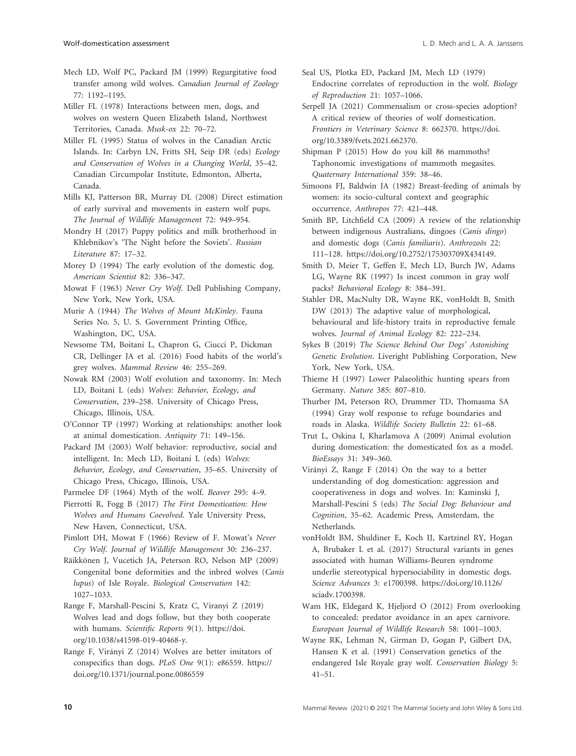Mech LD, Wolf PC, Packard JM (1999) Regurgitative food transfer among wild wolves. *Canadian Journal of Zoology* 77: 1192–1195.

Miller FL (1978) Interactions between men, dogs, and wolves on western Queen Elizabeth Island, Northwest Territories, Canada. *Musk-ox* 22: 70–72.

Miller FL (1995) Status of wolves in the Canadian Arctic Islands. In: Carbyn LN, Fritts SH, Seip DR (eds) *Ecology and Conservation of Wolves in a Changing World*, 35–42. Canadian Circumpolar Institute, Edmonton, Alberta, Canada.

Mills KJ, Patterson BR, Murray DL (2008) Direct estimation of early survival and movements in eastern wolf pups. *The Journal of Wildlife Management* 72: 949–954.

Mondry H (2017) Puppy politics and milk brotherhood in Khlebnikov's 'The Night before the Soviets'. *Russian Literature* 87: 17–32.

Morey D (1994) The early evolution of the domestic dog. *American Scientist* 82: 336–347.

Mowat F (1963) *Never Cry Wolf*. Dell Publishing Company, New York, New York, USA.

Murie A (1944) *The Wolves of Mount McKinley*. Fauna Series No. 5, U. S. Government Printing Office, Washington, DC, USA.

Newsome TM, Boitani L, Chapron G, Ciucci P, Dickman CR, Dellinger JA et al. (2016) Food habits of the world's grey wolves. *Mammal Review* 46: 255–269.

Nowak RM (2003) Wolf evolution and taxonomy. In: Mech LD, Boitani L (eds) *Wolves: Behavior, Ecology, and Conservation*, 239–258. University of Chicago Press, Chicago, Illinois, USA.

O'Connor TP (1997) Working at relationships: another look at animal domestication. *Antiquity* 71: 149–156.

Packard JM (2003) Wolf behavior: reproductive, social and intelligent. In: Mech LD, Boitani L (eds) *Wolves: Behavior, Ecology, and Conservation*, 35–65. University of Chicago Press, Chicago, Illinois, USA.

Parmelee DF (1964) Myth of the wolf. *Beaver* 295: 4–9.

Pierrotti R, Fogg B (2017) *The First Domestication: How Wolves and Humans Coevolved*. Yale University Press, New Haven, Connecticut, USA.

Pimlott DH, Mowat F (1966) Review of F. Mowat's *Never Cry Wolf*. *Journal of Wildlife Management* 30: 236–237.

Räikkönen J, Vucetich JA, Peterson RO, Nelson MP (2009) Congenital bone deformities and the inbred wolves (*Canis lupus*) of Isle Royale. *Biological Conservation* 142: 1027–1033.

Range F, Marshall-Pescini S, Kratz C, Viranyi Z (2019) Wolves lead and dogs follow, but they both cooperate with humans. *Scientific Reports* 9(1). [https://doi.](https://doi.org/10.1038/s41598-019-40468-y) [org/10.1038/s41598-019-40468-y.](https://doi.org/10.1038/s41598-019-40468-y)

Range F, Virányi Z (2014) Wolves are better imitators of conspecifics than dogs. *PLoS One* 9(1): e86559. [https://](https://doi.org/10.1371/journal.pone.0086559) [doi.org/10.1371/journal.pone.0086559](https://doi.org/10.1371/journal.pone.0086559)

Seal US, Plotka ED, Packard JM, Mech LD (1979) Endocrine correlates of reproduction in the wolf. *Biology of Reproduction* 21: 1057–1066.

Serpell JA (2021) Commensalism or cross-species adoption? A critical review of theories of wolf domestication. *Frontiers in Veterinary Science* 8: 662370. [https://doi.](https://doi.org/10.3389/fvets.2021.662370) [org/10.3389/fvets.2021.662370.](https://doi.org/10.3389/fvets.2021.662370)

Shipman P (2015) How do you kill 86 mammoths? Taphonomic investigations of mammoth megasites. *Quaternary International* 359: 38–46.

Simoons FJ, Baldwin JA (1982) Breast-feeding of animals by women: its socio-cultural context and geographic occurrence. *Anthropos* 77: 421–448.

Smith BP, Litchfield CA (2009) A review of the relationship between indigenous Australians, dingoes (*Canis dingo*) and domestic dogs (*Canis familiaris*). *Anthrozoös* 22: 111–128. [https://doi.org/10.2752/175303709X434149.](https://doi.org/10.2752/175303709X434149)

Smith D, Meier T, Geffen E, Mech LD, Burch JW, Adams LG, Wayne RK (1997) Is incest common in gray wolf packs? *Behavioral Ecology* 8: 384–391.

Stahler DR, MacNulty DR, Wayne RK, vonHoldt B, Smith DW (2013) The adaptive value of morphological, behavioural and life-history traits in reproductive female wolves. *Journal of Animal Ecology* 82: 222–234.

Sykes B (2019) *The Science Behind Our Dogs' Astonishing Genetic Evolution*. Liveright Publishing Corporation, New York, New York, USA.

Thieme H (1997) Lower Palaeolithic hunting spears from Germany. *Nature* 385: 807–810.

Thurber JM, Peterson RO, Drummer TD, Thomasma SA (1994) Gray wolf response to refuge boundaries and roads in Alaska. *Wildlife Society Bulletin* 22: 61–68.

Trut L, Oskina I, Kharlamova A (2009) Animal evolution during domestication: the domesticated fox as a model. *BioEssays* 31: 349–360.

Virányi Z, Range F (2014) On the way to a better understanding of dog domestication: aggression and cooperativeness in dogs and wolves. In: Kaminski J, Marshall-Pescini S (eds) *The Social Dog: Behaviour and Cognition*, 35–62. Academic Press, Amsterdam, the Netherlands.

vonHoldt BM, Shuldiner E, Koch IJ, Kartzinel RY, Hogan A, Brubaker L et al. (2017) Structural variants in genes associated with human Williams-Beuren syndrome underlie stereotypical hypersociability in domestic dogs. *Science Advances* 3: e1700398. [https://doi.org/10.1126/](https://doi.org/10.1126/sciadv.1700398) [sciadv.1700398.](https://doi.org/10.1126/sciadv.1700398)

Wam HK, Eldegard K, Hjeljord O (2012) From overlooking to concealed: predator avoidance in an apex carnivore. *European Journal of Wildlife Research* 58: 1001–1003.

Wayne RK, Lehman N, Girman D, Gogan P, Gilbert DA, Hansen K et al. (1991) Conservation genetics of the endangered Isle Royale gray wolf. *Conservation Biology* 5: 41–51.